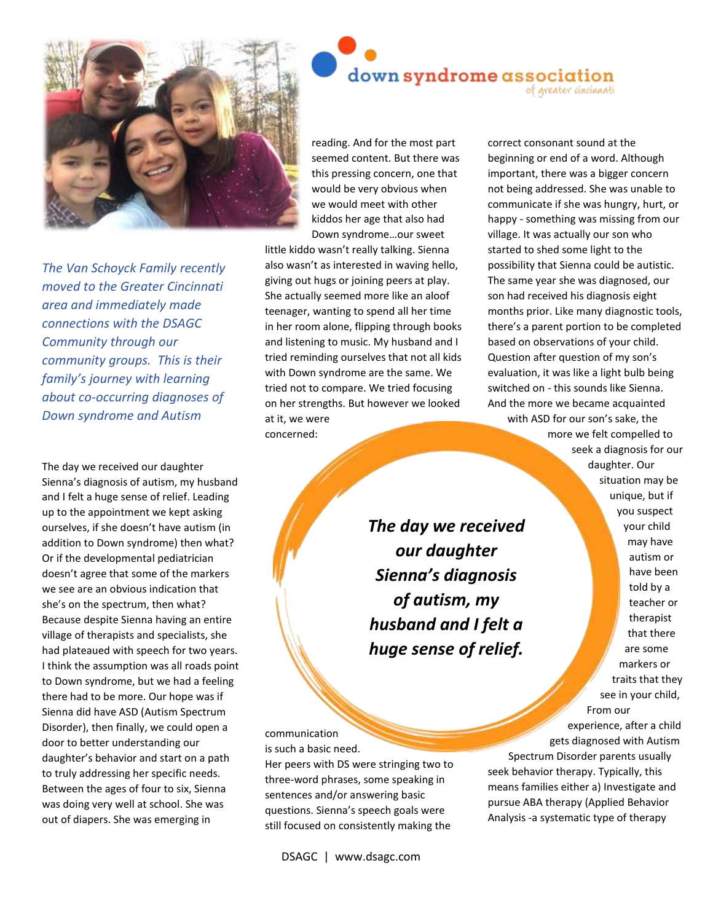

*The Van Schoyck Family recently moved to the Greater Cincinnati area and immediately made connections with the DSAGC Community through our community groups. This is their family's journey with learning about co-occurring diagnoses of Down syndrome and Autism*

The day we received our daughter Sienna's diagnosis of autism, my husband and I felt a huge sense of relief. Leading up to the appointment we kept asking ourselves, if she doesn't have autism (in addition to Down syndrome) then what? Or if the developmental pediatrician doesn't agree that some of the markers we see are an obvious indication that she's on the spectrum, then what? Because despite Sienna having an entire village of therapists and specialists, she had plateaued with speech for two years. I think the assumption was all roads point to Down syndrome, but we had a feeling there had to be more. Our hope was if Sienna did have ASD (Autism Spectrum Disorder), then finally, we could open a door to better understanding our daughter's behavior and start on a path to truly addressing her specific needs. Between the ages of four to six, Sienna was doing very well at school. She was out of diapers. She was emerging in

reading. And for the most part seemed content. But there was this pressing concern, one that would be very obvious when we would meet with other kiddos her age that also had Down syndrome…our sweet

down syndrome association

little kiddo wasn't really talking. Sienna also wasn't as interested in waving hello, giving out hugs or joining peers at play. She actually seemed more like an aloof teenager, wanting to spend all her time in her room alone, flipping through books and listening to music. My husband and I tried reminding ourselves that not all kids with Down syndrome are the same. We tried not to compare. We tried focusing on her strengths. But however we looked at it, we were concerned:

> *The day we received our daughter Sienna's diagnosis of autism, my husband and I felt a huge sense of relief.*

communication is such a basic need.

Her peers with DS were stringing two to three-word phrases, some speaking in sentences and/or answering basic questions. Sienna's speech goals were still focused on consistently making the

DSAGC | www.dsagc.com

correct consonant sound at the beginning or end of a word. Although important, there was a bigger concern not being addressed. She was unable to communicate if she was hungry, hurt, or happy - something was missing from our village. It was actually our son who started to shed some light to the possibility that Sienna could be autistic. The same year she was diagnosed, our son had received his diagnosis eight months prior. Like many diagnostic tools, there's a parent portion to be completed based on observations of your child. Question after question of my son's evaluation, it was like a light bulb being switched on - this sounds like Sienna. And the more we became acquainted

of greater cincinnati

with ASD for our son's sake, the more we felt compelled to seek a diagnosis for our daughter. Our situation may be unique, but if you suspect your child may have autism or have been told by a teacher or therapist that there are some markers or traits that they see in your child, From our

experience, after a child gets diagnosed with Autism Spectrum Disorder parents usually seek behavior therapy. Typically, this means families either a) Investigate and pursue ABA therapy (Applied Behavior Analysis -a systematic type of therapy